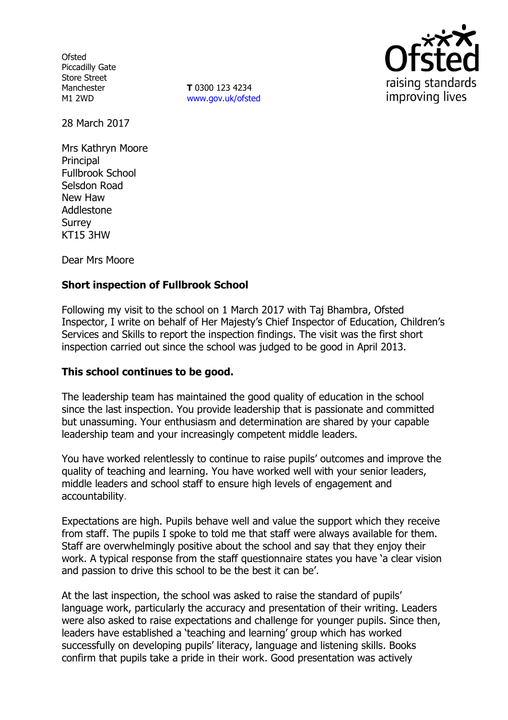**Ofsted** Piccadilly Gate Store Street Manchester M1 2WD

**T** 0300 123 4234 www.gov.uk/ofsted



28 March 2017

Mrs Kathryn Moore **Principal** Fullbrook School Selsdon Road New Haw Addlestone **Surrey** KT15 3HW

Dear Mrs Moore

## **Short inspection of Fullbrook School**

Following my visit to the school on 1 March 2017 with Taj Bhambra, Ofsted Inspector, I write on behalf of Her Majesty's Chief Inspector of Education, Children's Services and Skills to report the inspection findings. The visit was the first short inspection carried out since the school was judged to be good in April 2013.

### **This school continues to be good.**

The leadership team has maintained the good quality of education in the school since the last inspection. You provide leadership that is passionate and committed but unassuming. Your enthusiasm and determination are shared by your capable leadership team and your increasingly competent middle leaders.

You have worked relentlessly to continue to raise pupils' outcomes and improve the quality of teaching and learning. You have worked well with your senior leaders, middle leaders and school staff to ensure high levels of engagement and accountability.

Expectations are high. Pupils behave well and value the support which they receive from staff. The pupils I spoke to told me that staff were always available for them. Staff are overwhelmingly positive about the school and say that they enjoy their work. A typical response from the staff questionnaire states you have 'a clear vision and passion to drive this school to be the best it can be'.

At the last inspection, the school was asked to raise the standard of pupils' language work, particularly the accuracy and presentation of their writing. Leaders were also asked to raise expectations and challenge for younger pupils. Since then, leaders have established a 'teaching and learning' group which has worked successfully on developing pupils' literacy, language and listening skills. Books confirm that pupils take a pride in their work. Good presentation was actively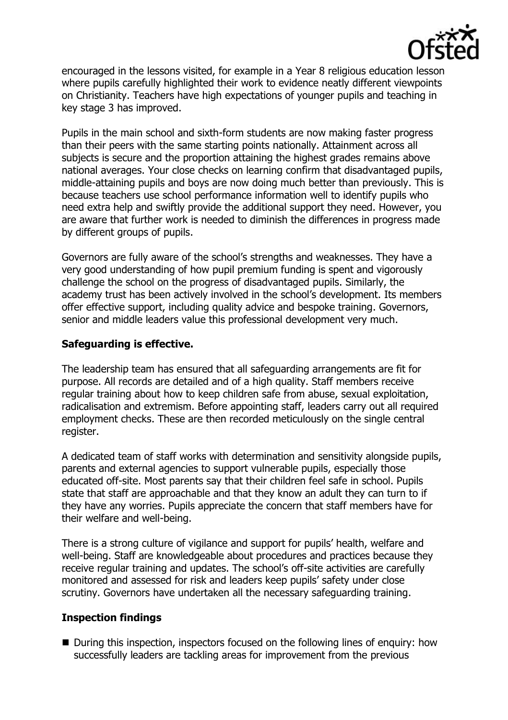

encouraged in the lessons visited, for example in a Year 8 religious education lesson where pupils carefully highlighted their work to evidence neatly different viewpoints on Christianity. Teachers have high expectations of younger pupils and teaching in key stage 3 has improved.

Pupils in the main school and sixth-form students are now making faster progress than their peers with the same starting points nationally. Attainment across all subjects is secure and the proportion attaining the highest grades remains above national averages. Your close checks on learning confirm that disadvantaged pupils, middle-attaining pupils and boys are now doing much better than previously. This is because teachers use school performance information well to identify pupils who need extra help and swiftly provide the additional support they need. However, you are aware that further work is needed to diminish the differences in progress made by different groups of pupils.

Governors are fully aware of the school's strengths and weaknesses. They have a very good understanding of how pupil premium funding is spent and vigorously challenge the school on the progress of disadvantaged pupils. Similarly, the academy trust has been actively involved in the school's development. Its members offer effective support, including quality advice and bespoke training. Governors, senior and middle leaders value this professional development very much.

### **Safeguarding is effective.**

The leadership team has ensured that all safeguarding arrangements are fit for purpose. All records are detailed and of a high quality. Staff members receive regular training about how to keep children safe from abuse, sexual exploitation, radicalisation and extremism. Before appointing staff, leaders carry out all required employment checks. These are then recorded meticulously on the single central register.

A dedicated team of staff works with determination and sensitivity alongside pupils, parents and external agencies to support vulnerable pupils, especially those educated off-site. Most parents say that their children feel safe in school. Pupils state that staff are approachable and that they know an adult they can turn to if they have any worries. Pupils appreciate the concern that staff members have for their welfare and well-being.

There is a strong culture of vigilance and support for pupils' health, welfare and well-being. Staff are knowledgeable about procedures and practices because they receive regular training and updates. The school's off-site activities are carefully monitored and assessed for risk and leaders keep pupils' safety under close scrutiny. Governors have undertaken all the necessary safeguarding training.

### **Inspection findings**

■ During this inspection, inspectors focused on the following lines of enquiry: how successfully leaders are tackling areas for improvement from the previous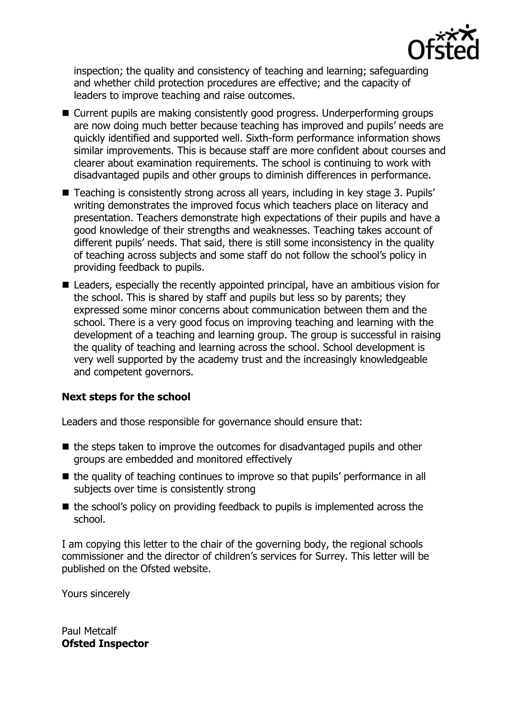

inspection; the quality and consistency of teaching and learning; safeguarding and whether child protection procedures are effective; and the capacity of leaders to improve teaching and raise outcomes.

- Current pupils are making consistently good progress. Underperforming groups are now doing much better because teaching has improved and pupils' needs are quickly identified and supported well. Sixth-form performance information shows similar improvements. This is because staff are more confident about courses and clearer about examination requirements. The school is continuing to work with disadvantaged pupils and other groups to diminish differences in performance.
- Teaching is consistently strong across all years, including in key stage 3. Pupils' writing demonstrates the improved focus which teachers place on literacy and presentation. Teachers demonstrate high expectations of their pupils and have a good knowledge of their strengths and weaknesses. Teaching takes account of different pupils' needs. That said, there is still some inconsistency in the quality of teaching across subjects and some staff do not follow the school's policy in providing feedback to pupils.
- Leaders, especially the recently appointed principal, have an ambitious vision for the school. This is shared by staff and pupils but less so by parents; they expressed some minor concerns about communication between them and the school. There is a very good focus on improving teaching and learning with the development of a teaching and learning group. The group is successful in raising the quality of teaching and learning across the school. School development is very well supported by the academy trust and the increasingly knowledgeable and competent governors.

# **Next steps for the school**

Leaders and those responsible for governance should ensure that:

- $\blacksquare$  the steps taken to improve the outcomes for disadvantaged pupils and other groups are embedded and monitored effectively
- $\blacksquare$  the quality of teaching continues to improve so that pupils' performance in all subjects over time is consistently strong
- $\blacksquare$  the school's policy on providing feedback to pupils is implemented across the school.

I am copying this letter to the chair of the governing body, the regional schools commissioner and the director of children's services for Surrey. This letter will be published on the Ofsted website.

Yours sincerely

Paul Metcalf **Ofsted Inspector**